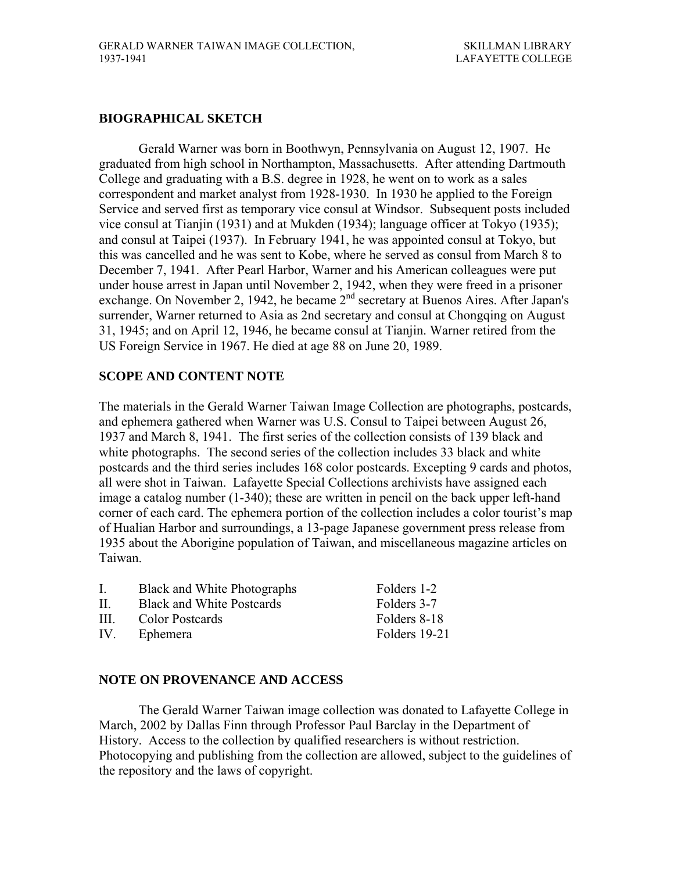# **BIOGRAPHICAL SKETCH**

Gerald Warner was born in Boothwyn, Pennsylvania on August 12, 1907. He graduated from high school in Northampton, Massachusetts. After attending Dartmouth College and graduating with a B.S. degree in 1928, he went on to work as a sales correspondent and market analyst from 1928-1930. In 1930 he applied to the Foreign Service and served first as temporary vice consul at Windsor. Subsequent posts included vice consul at Tianjin (1931) and at Mukden (1934); language officer at Tokyo (1935); and consul at Taipei (1937). In February 1941, he was appointed consul at Tokyo, but this was cancelled and he was sent to Kobe, where he served as consul from March 8 to December 7, 1941. After Pearl Harbor, Warner and his American colleagues were put under house arrest in Japan until November 2, 1942, when they were freed in a prisoner exchange. On November 2, 1942, he became 2nd secretary at Buenos Aires. After Japan's surrender, Warner returned to Asia as 2nd secretary and consul at Chongqing on August 31, 1945; and on April 12, 1946, he became consul at Tianjin. Warner retired from the US Foreign Service in 1967. He died at age 88 on June 20, 1989.

# **SCOPE AND CONTENT NOTE**

The materials in the Gerald Warner Taiwan Image Collection are photographs, postcards, and ephemera gathered when Warner was U.S. Consul to Taipei between August 26, 1937 and March 8, 1941. The first series of the collection consists of 139 black and white photographs. The second series of the collection includes 33 black and white postcards and the third series includes 168 color postcards. Excepting 9 cards and photos, all were shot in Taiwan. Lafayette Special Collections archivists have assigned each image a catalog number (1-340); these are written in pencil on the back upper left-hand corner of each card. The ephemera portion of the collection includes a color tourist's map of Hualian Harbor and surroundings, a 13-page Japanese government press release from 1935 about the Aborigine population of Taiwan, and miscellaneous magazine articles on Taiwan.

| L.           | <b>Black and White Photographs</b> | Folders 1-2   |
|--------------|------------------------------------|---------------|
| $\mathbf{H}$ | <b>Black and White Postcards</b>   | Folders 3-7   |
| $\mathbf{H}$ | Color Postcards                    | Folders 8-18  |
| IV.          | Ephemera                           | Folders 19-21 |
|              |                                    |               |

# **NOTE ON PROVENANCE AND ACCESS**

 The Gerald Warner Taiwan image collection was donated to Lafayette College in March, 2002 by Dallas Finn through Professor Paul Barclay in the Department of History. Access to the collection by qualified researchers is without restriction. Photocopying and publishing from the collection are allowed, subject to the guidelines of the repository and the laws of copyright.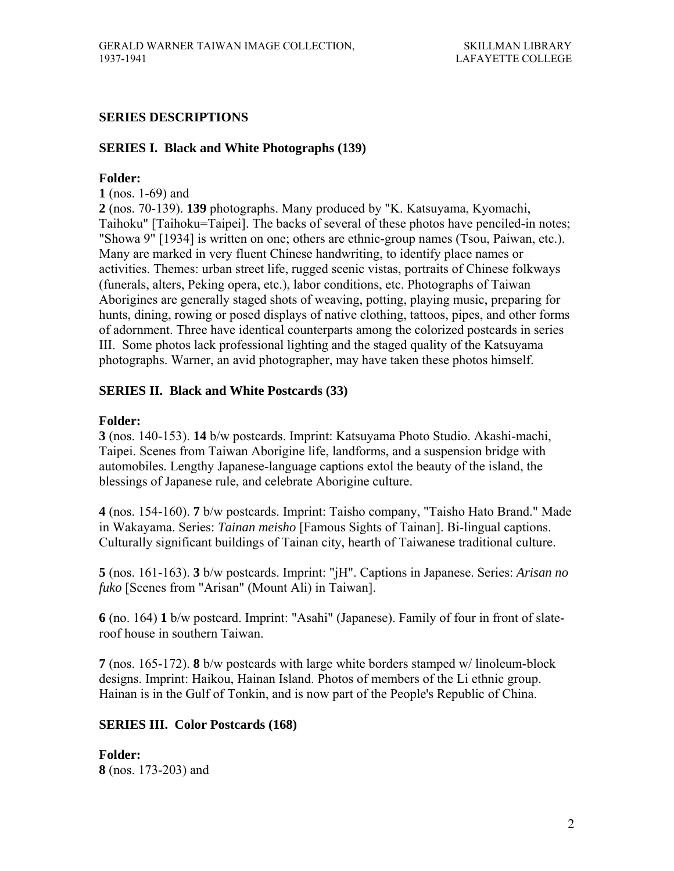# **SERIES DESCRIPTIONS**

## **SERIES I. Black and White Photographs (139)**

## **Folder:**

**1** (nos. 1-69) and

**2** (nos. 70-139). **139** photographs. Many produced by "K. Katsuyama, Kyomachi, Taihoku" [Taihoku=Taipei]. The backs of several of these photos have penciled-in notes; "Showa 9" [1934] is written on one; others are ethnic-group names (Tsou, Paiwan, etc.). Many are marked in very fluent Chinese handwriting, to identify place names or activities. Themes: urban street life, rugged scenic vistas, portraits of Chinese folkways (funerals, alters, Peking opera, etc.), labor conditions, etc. Photographs of Taiwan Aborigines are generally staged shots of weaving, potting, playing music, preparing for hunts, dining, rowing or posed displays of native clothing, tattoos, pipes, and other forms of adornment. Three have identical counterparts among the colorized postcards in series III. Some photos lack professional lighting and the staged quality of the Katsuyama photographs. Warner, an avid photographer, may have taken these photos himself.

## **SERIES II. Black and White Postcards (33)**

### **Folder:**

**3** (nos. 140-153). **14** b/w postcards. Imprint: Katsuyama Photo Studio. Akashi-machi, Taipei. Scenes from Taiwan Aborigine life, landforms, and a suspension bridge with automobiles. Lengthy Japanese-language captions extol the beauty of the island, the blessings of Japanese rule, and celebrate Aborigine culture.

**4** (nos. 154-160). **7** b/w postcards. Imprint: Taisho company, "Taisho Hato Brand." Made in Wakayama. Series: *Tainan meisho* [Famous Sights of Tainan]. Bi-lingual captions. Culturally significant buildings of Tainan city, hearth of Taiwanese traditional culture.

**5** (nos. 161-163). **3** b/w postcards. Imprint: "jH". Captions in Japanese. Series: *Arisan no fuko* [Scenes from "Arisan" (Mount Ali) in Taiwan].

**6** (no. 164) **1** b/w postcard. Imprint: "Asahi" (Japanese). Family of four in front of slateroof house in southern Taiwan.

**7** (nos. 165-172). **8** b/w postcards with large white borders stamped w/ linoleum-block designs. Imprint: Haikou, Hainan Island. Photos of members of the Li ethnic group. Hainan is in the Gulf of Tonkin, and is now part of the People's Republic of China.

# **SERIES III. Color Postcards (168)**

**Folder: 8** (nos. 173-203) and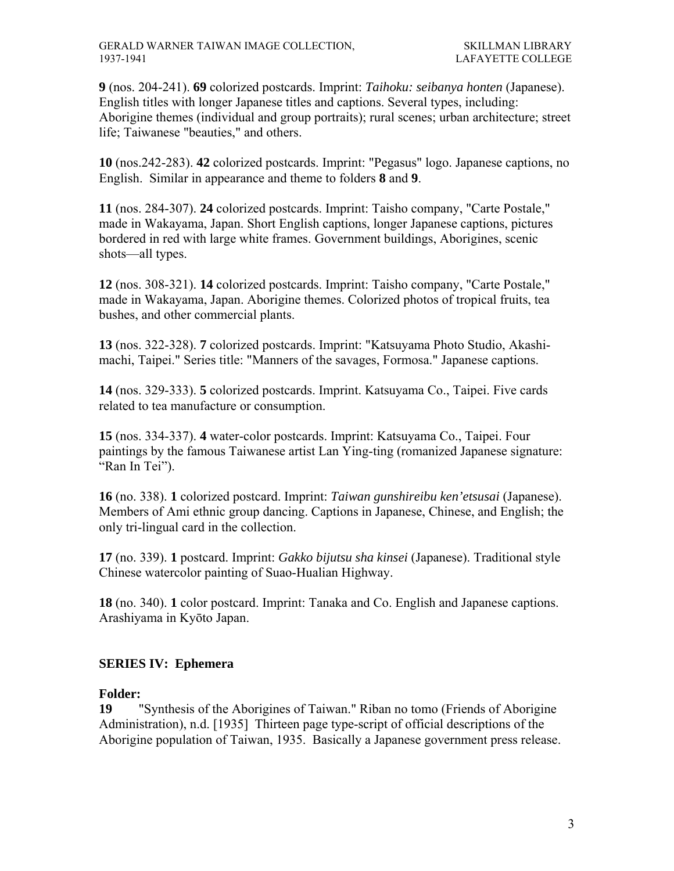**9** (nos. 204-241). **69** colorized postcards. Imprint: *Taihoku: seibanya honten* (Japanese). English titles with longer Japanese titles and captions. Several types, including: Aborigine themes (individual and group portraits); rural scenes; urban architecture; street life; Taiwanese "beauties," and others.

**10** (nos.242-283). **42** colorized postcards. Imprint: "Pegasus" logo. Japanese captions, no English. Similar in appearance and theme to folders **8** and **9**.

**11** (nos. 284-307). **24** colorized postcards. Imprint: Taisho company, "Carte Postale," made in Wakayama, Japan. Short English captions, longer Japanese captions, pictures bordered in red with large white frames. Government buildings, Aborigines, scenic shots—all types.

**12** (nos. 308-321). **14** colorized postcards. Imprint: Taisho company, "Carte Postale," made in Wakayama, Japan. Aborigine themes. Colorized photos of tropical fruits, tea bushes, and other commercial plants.

**13** (nos. 322-328). **7** colorized postcards. Imprint: "Katsuyama Photo Studio, Akashimachi, Taipei." Series title: "Manners of the savages, Formosa." Japanese captions.

**14** (nos. 329-333). **5** colorized postcards. Imprint. Katsuyama Co., Taipei. Five cards related to tea manufacture or consumption.

**15** (nos. 334-337). **4** water-color postcards. Imprint: Katsuyama Co., Taipei. Four paintings by the famous Taiwanese artist Lan Ying-ting (romanized Japanese signature: "Ran In Tei").

**16** (no. 338). **1** colorized postcard. Imprint: *Taiwan gunshireibu ken'etsusai* (Japanese). Members of Ami ethnic group dancing. Captions in Japanese, Chinese, and English; the only tri-lingual card in the collection.

**17** (no. 339). **1** postcard. Imprint: *Gakko bijutsu sha kinsei* (Japanese). Traditional style Chinese watercolor painting of Suao-Hualian Highway.

**18** (no. 340). **1** color postcard. Imprint: Tanaka and Co. English and Japanese captions. Arashiyama in Kyōto Japan.

# **SERIES IV: Ephemera**

# **Folder:**

**19** "Synthesis of the Aborigines of Taiwan." Riban no tomo (Friends of Aborigine Administration), n.d. [1935] Thirteen page type-script of official descriptions of the Aborigine population of Taiwan, 1935. Basically a Japanese government press release.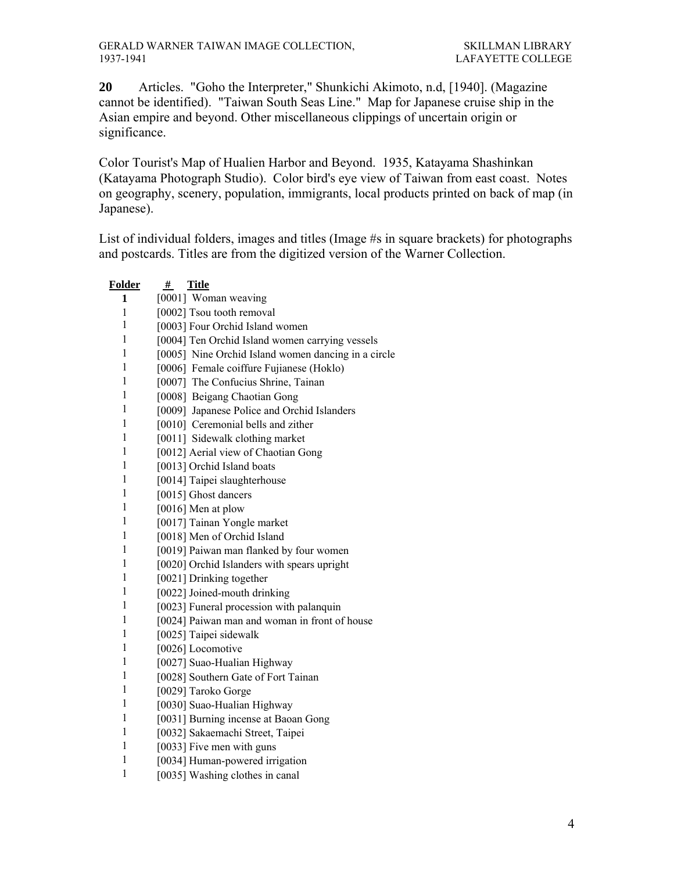Articles. "Goho the Interpreter," Shunkichi Akimoto, n.d, [1940]. (Magazine cannot be identified). "Taiwan South Seas Line." Map for Japanese cruise ship in the Asian empire and beyond. Other miscellaneous clippings of uncertain origin or significance.

Color Tourist's Map of Hualien Harbor and Beyond. 1935, Katayama Shashinkan (Katayama Photograph Studio). Color bird's eye view of Taiwan from east coast. Notes on geography, scenery, population, immigrants, local products printed on back of map (in Japanese).

List of individual folders, images and titles (Image #s in square brackets) for photographs and postcards. Titles are from the digitized version of the Warner Collection.

| <b>Folder</b> | <b>Title</b><br>#                                   |
|---------------|-----------------------------------------------------|
| 1             | [0001] Woman weaving                                |
| $\mathbf{1}$  | [0002] Tsou tooth removal                           |
| $\,1$         | [0003] Four Orchid Island women                     |
| 1             | [0004] Ten Orchid Island women carrying vessels     |
| $\,1$         | [0005] Nine Orchid Island women dancing in a circle |
| $\mathbf{1}$  | [0006] Female coiffure Fujianese (Hoklo)            |
| $\mathbf{1}$  | [0007] The Confucius Shrine, Tainan                 |
| $\mathbf{1}$  | [0008] Beigang Chaotian Gong                        |
| $\mathbf{1}$  | [0009] Japanese Police and Orchid Islanders         |
| $\mathbf{1}$  | [0010] Ceremonial bells and zither                  |
| $\mathbf{1}$  | [0011] Sidewalk clothing market                     |
| $\mathbf{1}$  | [0012] Aerial view of Chaotian Gong                 |
| $\mathbf{1}$  | [0013] Orchid Island boats                          |
| $\mathbf{1}$  | [0014] Taipei slaughterhouse                        |
| $\mathbf{1}$  | [0015] Ghost dancers                                |
| 1             | $[0016]$ Men at plow                                |
| 1             | [0017] Tainan Yongle market                         |
| 1             | [0018] Men of Orchid Island                         |
| 1             | [0019] Paiwan man flanked by four women             |
| 1             | [0020] Orchid Islanders with spears upright         |
| 1             | [0021] Drinking together                            |
| 1             | [0022] Joined-mouth drinking                        |
| $\mathbf{1}$  | [0023] Funeral procession with palanquin            |
| $\mathbf{1}$  | [0024] Paiwan man and woman in front of house       |
| $\mathbf{1}$  | [0025] Taipei sidewalk                              |
| $\mathbf{1}$  | [0026] Locomotive                                   |
| $\mathbf{1}$  | [0027] Suao-Hualian Highway                         |
| $\mathbf{1}$  | [0028] Southern Gate of Fort Tainan                 |
| $\mathbf{1}$  | [0029] Taroko Gorge                                 |
| $\mathbf{1}$  | [0030] Suao-Hualian Highway                         |
| $\mathbf{1}$  | [0031] Burning incense at Baoan Gong                |
| $\mathbf{1}$  | [0032] Sakaemachi Street, Taipei                    |
| $\mathbf{1}$  | [0033] Five men with guns                           |
| 1             | [0034] Human-powered irrigation                     |
| $\mathbf{1}$  | [0035] Washing clothes in canal                     |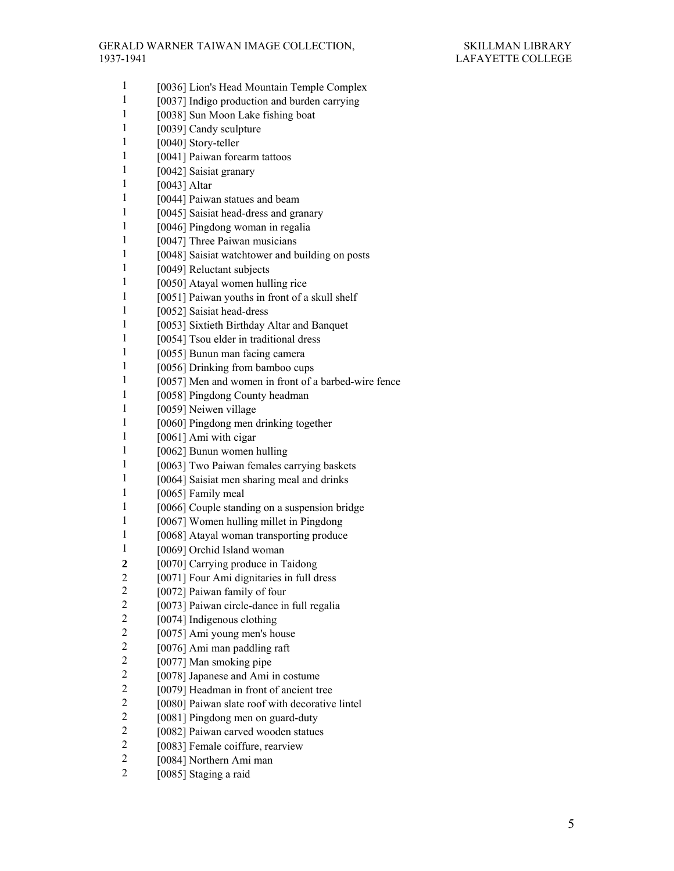| 1                       | [0036] Lion's Head Mountain Temple Complex           |
|-------------------------|------------------------------------------------------|
| 1                       | [0037] Indigo production and burden carrying         |
| 1                       | [0038] Sun Moon Lake fishing boat                    |
| 1                       | [0039] Candy sculpture                               |
| 1                       | [0040] Story-teller                                  |
| 1                       | [0041] Paiwan forearm tattoos                        |
| 1                       | [0042] Saisiat granary                               |
| 1                       | [0043] Altar                                         |
| 1                       | [0044] Paiwan statues and beam                       |
| 1                       | [0045] Saisiat head-dress and granary                |
| 1                       | [0046] Pingdong woman in regalia                     |
| 1                       | [0047] Three Paiwan musicians                        |
| 1                       | [0048] Saisiat watchtower and building on posts      |
| 1                       | [0049] Reluctant subjects                            |
| 1                       | [0050] Atayal women hulling rice                     |
| 1                       | [0051] Paiwan youths in front of a skull shelf       |
| 1                       | [0052] Saisiat head-dress                            |
| 1                       | [0053] Sixtieth Birthday Altar and Banquet           |
| 1                       | [0054] Tsou elder in traditional dress               |
| 1                       | [0055] Bunun man facing camera                       |
| 1                       | [0056] Drinking from bamboo cups                     |
| 1                       | [0057] Men and women in front of a barbed-wire fence |
| 1                       | [0058] Pingdong County headman                       |
| 1                       | [0059] Neiwen village                                |
| 1                       | [0060] Pingdong men drinking together                |
| 1                       | [0061] Ami with cigar                                |
| 1                       | [0062] Bunun women hulling                           |
| 1                       | [0063] Two Paiwan females carrying baskets           |
| 1                       | [0064] Saisiat men sharing meal and drinks           |
| 1                       | [0065] Family meal                                   |
| 1                       | [0066] Couple standing on a suspension bridge        |
| 1                       | [0067] Women hulling millet in Pingdong              |
| 1                       | [0068] Atayal woman transporting produce             |
| 1                       | [0069] Orchid Island woman                           |
| 2                       | [0070] Carrying produce in Taidong                   |
| $\frac{2}{2}$           | [0071] Four Ami dignitaries in full dress            |
|                         | [0072] Paiwan family of four                         |
| $\overline{c}$          | [0073] Paiwan circle-dance in full regalia           |
| $\overline{\mathbf{c}}$ | [0074] Indigenous clothing                           |
| $\overline{c}$          | [0075] Ami young men's house                         |
| $\overline{c}$          | [0076] Ami man paddling raft                         |
| $\overline{\mathbf{c}}$ | [0077] Man smoking pipe                              |
| $\overline{\mathbf{c}}$ | [0078] Japanese and Ami in costume                   |
| $\overline{c}$          | [0079] Headman in front of ancient tree              |
| $\overline{c}$          | [0080] Paiwan slate roof with decorative lintel      |
| $\overline{c}$          | [0081] Pingdong men on guard-duty                    |
| $\overline{c}$          | [0082] Paiwan carved wooden statues                  |
| $\overline{c}$          | [0083] Female coiffure, rearview                     |
| $\overline{c}$          | [0084] Northern Ami man                              |
| $\overline{2}$          | [0085] Staging a raid                                |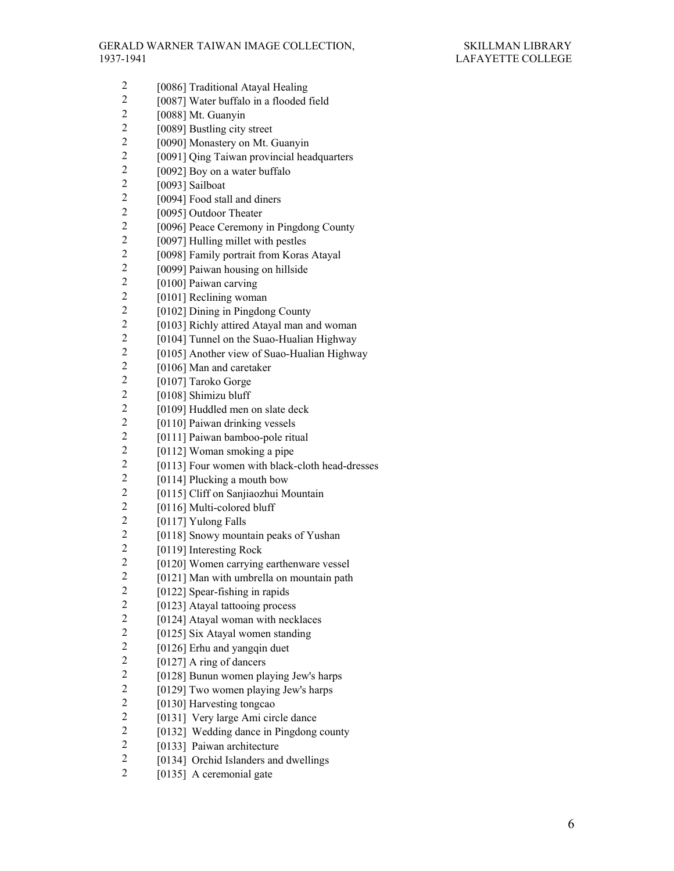- 2 [0086] Traditional Atayal Healing<br>2 [0087] Water buffalo in a flooded
- 2 [0087] Water buffalo in a flooded field<br>2 [0088] Mt. Guanvin
- 2 [0088] Mt. Guanyin<br>2 [0089] Bustling city
- 2 [0089] Bustling city street<br>2 [0090] Monastery on Mt. 0
- 2 [0090] Monastery on Mt. Guanyin<br>2 [0091] Oing Taiwan provincial hea
- 2 [0091] Qing Taiwan provincial headquarters<br>2 [0092] Boy on a water buffalo
- $\frac{2}{2}$  [0092] Boy on a water buffalo<br>2 [0093] Sailboat
- 2 [0093] Sailboat<br>2 [0094] Food stal
- 2 [0094] Food stall and diners<br>2 [0095] Outdoor Theater
- 2 [0095] Outdoor Theater<br>2 [0096] Peace Ceremony
- 2 [0096] Peace Ceremony in Pingdong County<br>2 [0097] Hulling millet with pestles
- 2 [0097] Hulling millet with pestles<br>2 [0098] Family portrait from Koras
- 2 [0098] Family portrait from Koras Atayal<br>2 [0099] Paiwan housing on hillside
- 2 [0099] Paiwan housing on hillside<br>2 [0100] Paiwan carving
- 2 [0100] Paiwan carving<br>2 [0101] Reclining woma
- $\frac{2}{2}$  [0101] Reclining woman<br> $\frac{2}{2}$  [0102] Dining in Pingdon
- <sup>2</sup> [0102] Dining in Pingdong County<br><sup>2</sup> [0103] Richly attired Ataval man an
- 2 [0103] Richly attired Atayal man and woman<br>2 [0104] Tunnel on the Suao-Hualian Highway
- <sup>2</sup> [0104] Tunnel on the Suao-Hualian Highway<br><sup>2</sup> [0105] Another view of Suao-Hualian Highwa
- 2 [0105] Another view of Suao-Hualian Highway<br>2 [0106] Man and caretaker
- 2 [0106] Man and caretaker<br>2 [0107] Taroko Gorge
- 2 [0107] Taroko Gorge<br>2 [0108] Shimizu bluff
- $\frac{2}{2}$  [0108] Shimizu bluff<br> $\frac{2}{10109}$  Huddled men
- 2 [0109] Huddled men on slate deck<br>2 [0110] Paiwan drinking vessels
- 2 [0110] Paiwan drinking vessels<br>2 [0111] Paiwan bamboo-pole ritu
- $\frac{2}{2}$  [0111] Paiwan bamboo-pole ritual<br> $\frac{2}{2}$  [0112] Woman smoking a nine
- 
- 2 [0112] Woman smoking a pipe<br>2 [0113] Four women with black-2  $[0113]$  Four women with black-cloth head-dresses<br>2  $[0114]$  Plucking a mouth bow
- 2  $[0114]$  Plucking a mouth bow<br>2  $[0115]$  Cliff on Sanijaozhui M
- 2 [0115] Cliff on Sanjiaozhui Mountain<br>2 [0116] Multi-colored bluff
- $\frac{2}{2}$  [0116] Multi-colored bluff<br> $\frac{2}{10117}$  Yulong Falls
- 2 [0117] Yulong Falls<br>2 [0118] Snowy moun
- 2 [0118] Snowy mountain peaks of Yushan<br>2 [0119] Interesting Rock
- 2 [0119] Interesting Rock<br>2 [0120] Women carrying
- 2 [0120] Women carrying earthenware vessel<br>2 [0121] Man with umbrella on mountain path
- $\frac{2}{2}$  [0121] Man with umbrella on mountain path  $\frac{2}{101221}$  Spear-fishing in rapids
- 2 [0122] Spear-fishing in rapids<br>2 [0123] Atayal tattooing proces
- 2 [0123] Atayal tattooing process<br>2 [0124] Atayal woman with neck
- 2 [0124] Atayal woman with necklaces<br>2 [0125] Six Ataval women standing
- 2 [0125] Six Atayal women standing<br>2 [0126] Erhu and vangain duet
- 2  $[0126]$  Erhu and yangqin duet<br>2  $[0127]$  A ring of dancers
- $\frac{2}{2}$  [0127] A ring of dancers<br> $\frac{2}{2}$  [0128] Bunun women pla
- 2 [0128] Bunun women playing Jew's harps<br>2 [0129] Two women playing Jew's harps
- 2 [0129] Two women playing Jew's harps<br>2 [0130] Harvesting tongcao
- 2 [0130] Harvesting tongcao<br>2 [01311] Very large Ami circ
- [0131] Very large Ami circle dance
- 2 [0132] Wedding dance in Pingdong county<br>2 [0133] Paiwan architecture
- 2 [0133] Paiwan architecture<br>2 [0134] Orchid Islanders and
- [0134] Orchid Islanders and dwellings
- 2 [0135] A ceremonial gate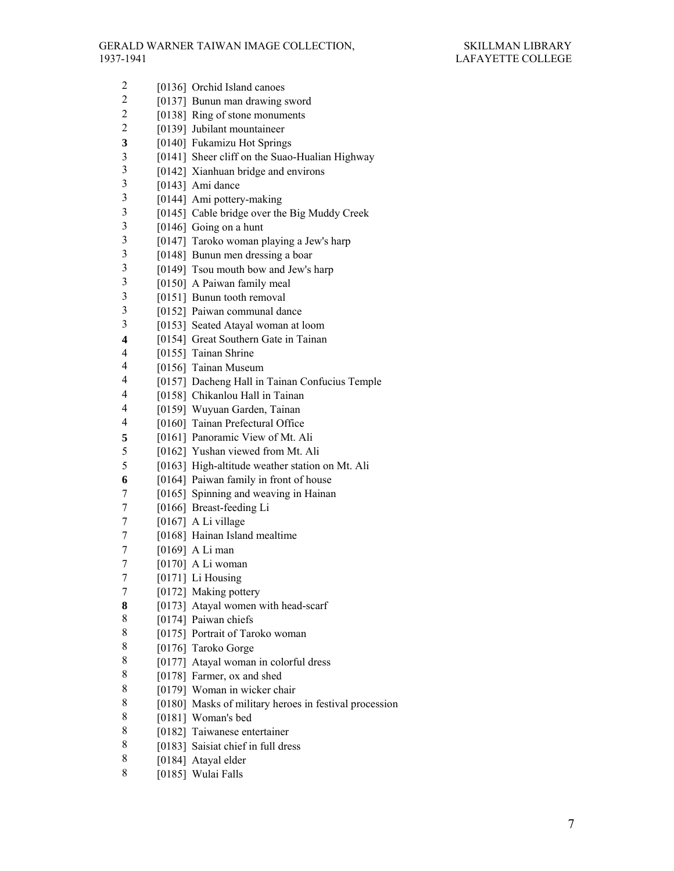2 [0137] Bunun man drawing sword 2 [0138] Ring of stone monuments<br>2 [0139] Jubilant mountaineer [0139] Jubilant mountaineer **3** [0140] Fukamizu Hot Springs 3 [0141] Sheer cliff on the Suao-Hualian Highway<br>3 [0142] Xianhuan bridge and environs 3 [0142] Xianhuan bridge and environs<br>3 [0143] Ami dance

2 [0136] Orchid Island canoes

- 3 [0143] Ami dance<br>3 [0144] Ami potter
- 3 [0144] Ami pottery-making<br>3 [0145] Cable bridge over the 3 [0145] Cable bridge over the Big Muddy Creek<br>3 [0146] Going on a hunt
- $\frac{3}{3}$  [0146] Going on a hunt<br>3 [0147] Taroko woman r
- 3 [0147] Taroko woman playing a Jew's harp<br>3 [0148] Bunun men dressing a boar
- 3 [0148] Bunun men dressing a boar<br>3 [0149] Tsou mouth bow and Jew's
- 3 [0149] Tsou mouth bow and Jew's harp<br>3 [0150] A Paiwan family meal
- 3 [0150] A Paiwan family meal<br>3 [0151] Bunun tooth removal
- 3 [0151] Bunun tooth removal<br>3 [0152] Paiwan communal da
- [0152] Paiwan communal dance
- 3 [0153] Seated Atayal woman at loom
- **4** [0154] Great Southern Gate in Tainan
- 4 [0155] Tainan Shrine
- 4 [0156] Tainan Museum
- 4 [0157] Dacheng Hall in Tainan Confucius Temple<br>4 [0158] Chikanlou Hall in Tainan
- [0158] Chikanlou Hall in Tainan
- 4 [0159] Wuyuan Garden, Tainan
- 4 [0160] Tainan Prefectural Office
- **5** [0161] Panoramic View of Mt. Ali
- 5 [0162] Yushan viewed from Mt. Ali
- 5 [0163] High-altitude weather station on Mt. Ali
- **6** [0164] Paiwan family in front of house
- 7 [0165] Spinning and weaving in Hainan
- 7 [0166] Breast-feeding Li
- 7 [0167] A Li village
- 7 [0168] Hainan Island mealtime
- 7 [0169] A Li man
- 7 [0170] A Li woman
- 7 [0171] Li Housing
- 7 [0172] Making pottery
- **8** [0173] Atayal women with head-scarf
- 8 [0174] Paiwan chiefs<br>8 [0175] Portrait of Tar
- [0175] Portrait of Taroko woman
- 8 [0176] Taroko Gorge<br>8 [0177] Ataval woman
- [0177] Atayal woman in colorful dress
- 8 [0178] Farmer, ox and shed
- 8 [0179] Woman in wicker chair<br>8 [0180] Masks of military heroe
- 8 [0180] Masks of military heroes in festival procession<br>8 [0181] Woman's bed
- [0181] Woman's bed
- 8 [0182] Taiwanese entertainer<br>8 [0183] Saisiat chief in full dre
- [0183] Saisiat chief in full dress
- 8 [0184] Atayal elder
- 8 [0185] Wulai Falls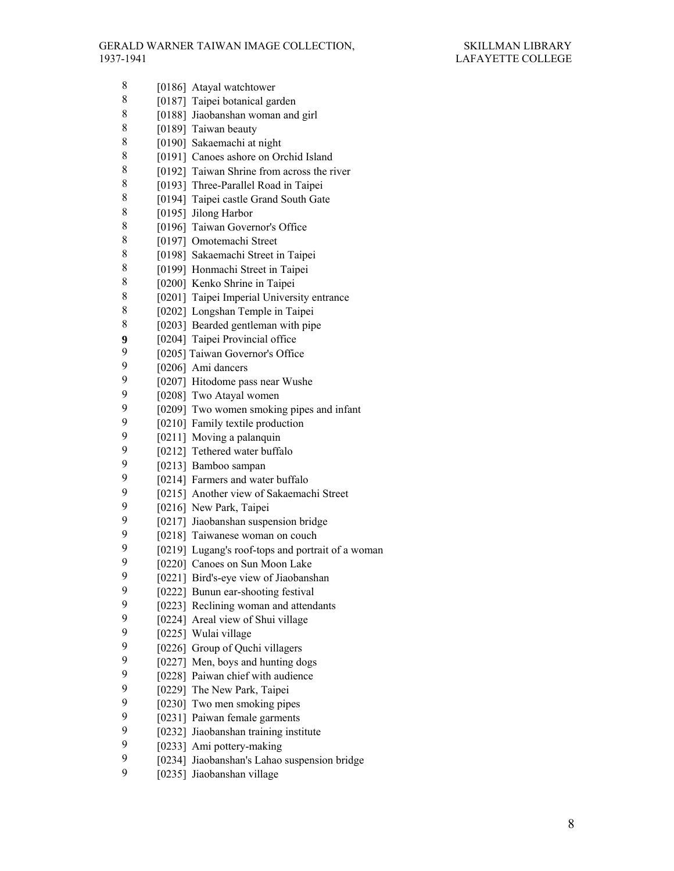| 8      | [0186] Atayal watchtower                          |
|--------|---------------------------------------------------|
| 8      | [0187] Taipei botanical garden                    |
| 8      |                                                   |
| 8      | [0188] Jiaobanshan woman and girl                 |
| 8      | [0189] Taiwan beauty                              |
| 8      | [0190] Sakaemachi at night                        |
| 8      | [0191] Canoes ashore on Orchid Island             |
|        | [0192] Taiwan Shrine from across the river        |
| 8<br>8 | [0193] Three-Parallel Road in Taipei              |
|        | [0194] Taipei castle Grand South Gate             |
| 8      | [0195] Jilong Harbor                              |
| 8      | [0196] Taiwan Governor's Office                   |
| 8      | [0197] Omotemachi Street                          |
| 8      | [0198] Sakaemachi Street in Taipei                |
| 8      | [0199] Honmachi Street in Taipei                  |
| 8      | [0200] Kenko Shrine in Taipei                     |
| 8      | [0201] Taipei Imperial University entrance        |
| 8      | [0202] Longshan Temple in Taipei                  |
| 8      | [0203] Bearded gentleman with pipe                |
| 9      | [0204] Taipei Provincial office                   |
| 9      | [0205] Taiwan Governor's Office                   |
| 9      | [0206] Ami dancers                                |
| 9      | [0207] Hitodome pass near Wushe                   |
| 9      | [0208] Two Atayal women                           |
| 9      | [0209] Two women smoking pipes and infant         |
| 9      | [0210] Family textile production                  |
| 9      | [0211] Moving a palanquin                         |
| 9      | [0212] Tethered water buffalo                     |
| 9      | [0213] Bamboo sampan                              |
| 9      | [0214] Farmers and water buffalo                  |
| 9      | [0215] Another view of Sakaemachi Street          |
| 9      | [0216] New Park, Taipei                           |
| 9      | [0217] Jiaobanshan suspension bridge              |
| 9      | [0218] Taiwanese woman on couch                   |
| 9      | [0219] Lugang's roof-tops and portrait of a woman |
| 9      | [0220] Canoes on Sun Moon Lake                    |
| 9      | [0221] Bird's-eye view of Jiaobanshan             |
| 9      | [0222] Bunun ear-shooting festival                |
| 9      | [0223] Reclining woman and attendants             |
| 9      | [0224] Areal view of Shui village                 |
| 9      | [0225] Wulai village                              |
| 9      | [0226] Group of Quchi villagers                   |
| 9      | [0227] Men, boys and hunting dogs                 |
| 9      | [0228] Paiwan chief with audience                 |
| 9      | [0229] The New Park, Taipei                       |
| 9      | [0230] Two men smoking pipes                      |
| 9      | [0231] Paiwan female garments                     |
| 9      | [0232] Jiaobanshan training institute             |
| 9      | [0233] Ami pottery-making                         |
| 9      | [0234] Jiaobanshan's Lahao suspension bridge      |
| 9      | [0235] Jiaobanshan village                        |
|        |                                                   |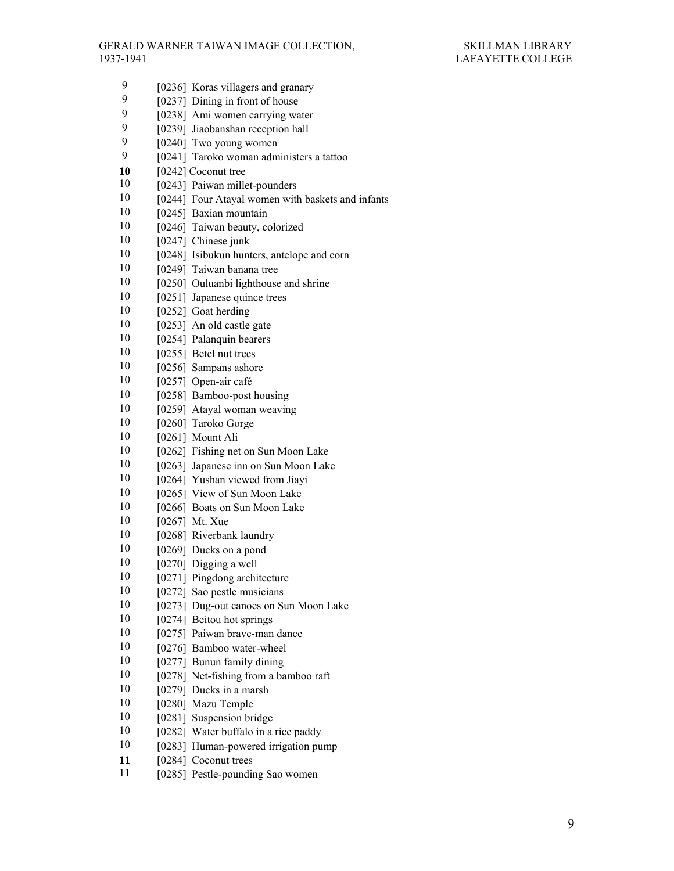- 9 [0236] Koras villagers and granary<br>9 [0237] Dining in front of house
- [0237] Dining in front of house
- 9 [0238] Ami women carrying water<br>9 [0239] Jiaobanshan reception hall
- 9 [0239] Jiaobanshan reception hall<br>9 [0240] Two young women
- $[0240]$  Two young women
- 9 [0241] Taroko woman administers a tattoo
- 10  $[0242]$  Coconut tree
- 10 [0243] Paiwan millet-pounders
- 10 [0244] Four Atayal women with baskets and infants
- 10 [0245] Baxian mountain
- 10 [0246] Taiwan beauty, colorized
- 10 [0247] Chinese junk
- 10 [0248] Isibukun hunters, antelope and corn
- 10 [0249] Taiwan banana tree
- 10 [0250] Ouluanbi lighthouse and shrine
- 10 [0251] Japanese quince trees
- $10$  [0252] Goat herding
- 10 [0253] An old castle gate
- 10 [0254] Palanquin bearers
- 10 [0255] Betel nut trees
- 10 [0256] Sampans ashore
- 10 [0257] Open-air café
- 10 [0258] Bamboo-post housing
- 10 [0259] Atayal woman weaving
- 10 [0260] Taroko Gorge
- 10 [0261] Mount Ali
- 10 [0262] Fishing net on Sun Moon Lake
- 10 [0263] Japanese inn on Sun Moon Lake
- 10 [0264] Yushan viewed from Jiayi
- 10 [0265] View of Sun Moon Lake
- 10 [0266] Boats on Sun Moon Lake
- 10 [0267] Mt. Xue
- 10 [0268] Riverbank laundry
- 10 [0269] Ducks on a pond
- $10$  [0270] Digging a well
- 10 [0271] Pingdong architecture
- 10 [0272] Sao pestle musicians
- 10 [0273] Dug-out canoes on Sun Moon Lake
- 10 [0274] Beitou hot springs
- 10 [0275] Paiwan brave-man dance
- 10 [0276] Bamboo water-wheel
- 10 [0277] Bunun family dining
- 10 [0278] Net-fishing from a bamboo raft
- $10 \qquad [0279]$  Ducks in a marsh
- 10 [0280] Mazu Temple
- 10 [0281] Suspension bridge
- 10 [0282] Water buffalo in a rice paddy
- 10 [0283] Human-powered irrigation pump
- **11** [0284] Coconut trees
- 11 [0285] Pestle-pounding Sao women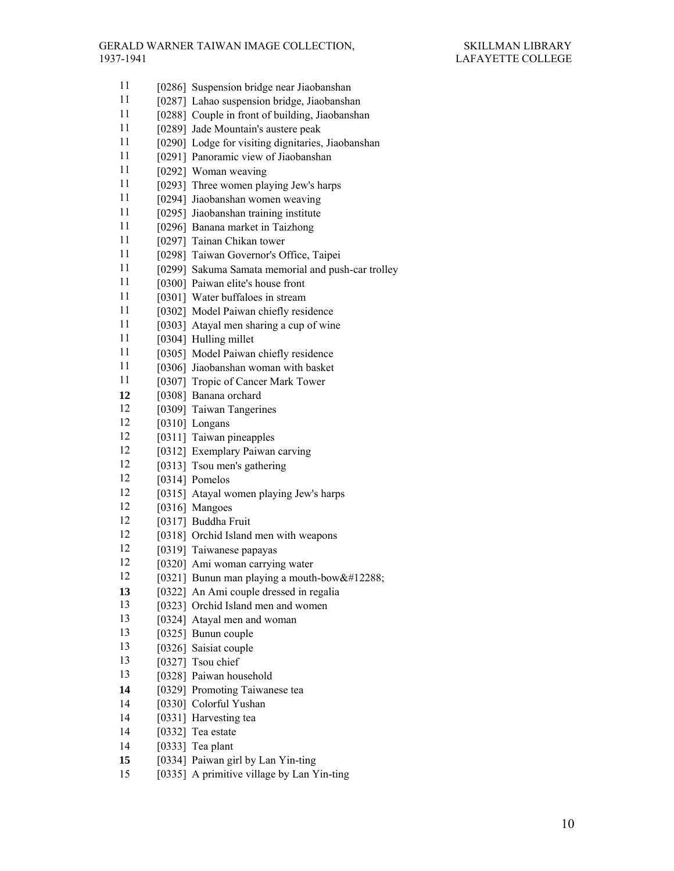- 11 [0286] Suspension bridge near Jiaobanshan 11 [0287] Lahao suspension bridge, Jiaobanshan 11 [0288] Couple in front of building, Jiaobanshan 11 [0289] Jade Mountain's austere peak 11 [0290] Lodge for visiting dignitaries, Jiaobanshan 11 [0291] Panoramic view of Jiaobanshan  $11$  [0292] Woman weaving 11 [0293] Three women playing Jew's harps 11 [0294] Jiaobanshan women weaving 11 [0295] Jiaobanshan training institute 11 [0296] Banana market in Taizhong 11 [0297] Tainan Chikan tower 11 [0298] Taiwan Governor's Office, Taipei 11 [0299] Sakuma Samata memorial and push-car trolley 11 [0300] Paiwan elite's house front 11 [0301] Water buffaloes in stream 11 [0302] Model Paiwan chiefly residence 11 [0303] Atayal men sharing a cup of wine 11 [0304] Hulling millet 11 [0305] Model Paiwan chiefly residence 11 [0306] Jiaobanshan woman with basket 11 [0307] Tropic of Cancer Mark Tower **12** [0308] Banana orchard 12 [0309] Taiwan Tangerines 12 [0310] Longans 12 [0311] Taiwan pineapples 12 [0312] Exemplary Paiwan carving 12 [0313] Tsou men's gathering 12 [0314] Pomelos 12 [0315] Atayal women playing Jew's harps 12 [0316] Mangoes 12 [0317] Buddha Fruit 12 [0318] Orchid Island men with weapons 12 [0319] Taiwanese papayas 12 [0320] Ami woman carrying water 12 [0321] Bunun man playing a mouth-bow  $\&\#12288$ ; **13** [0322] An Ami couple dressed in regalia 13 [0323] Orchid Island men and women 13 [0324] Atayal men and woman 13 [0325] Bunun couple 13 [0326] Saisiat couple 13 [0327] Tsou chief 13 [0328] Paiwan household **14** [0329] Promoting Taiwanese tea 14 [0330] Colorful Yushan 14 [0331] Harvesting tea 14 [0332] Tea estate 14 [0333] Tea plant **15** [0334] Paiwan girl by Lan Yin-ting
	- 15 [0335] A primitive village by Lan Yin-ting